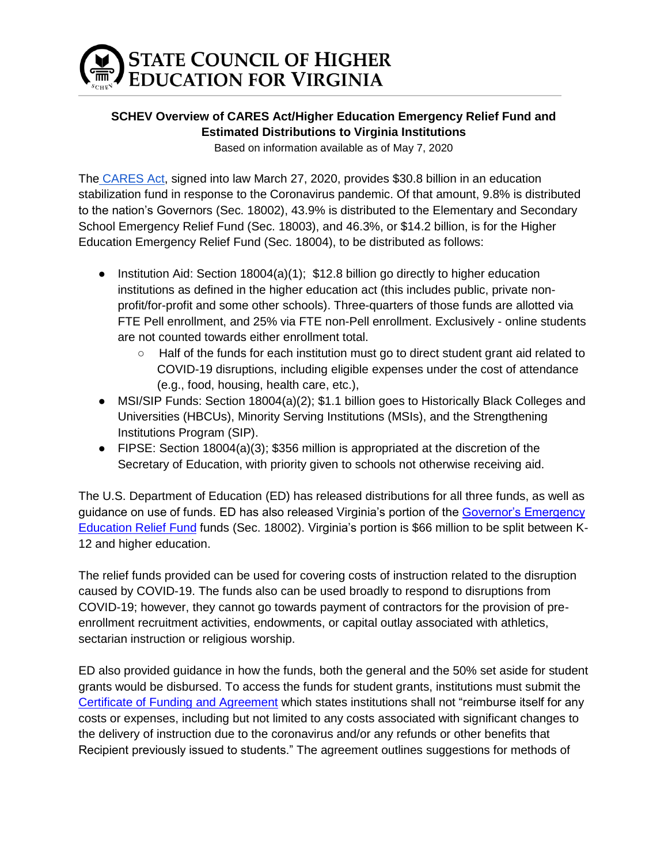# **STATE COUNCIL OF HIGHER<br>EDUCATION FOR VIRGINIA**

### **SCHEV Overview of CARES Act/Higher Education Emergency Relief Fund and Estimated Distributions to Virginia Institutions**

Based on information available as of May 7, 2020

The [CARES Act,](https://www.congress.gov/bill/116th-congress/house-bill/748/text?q=%7B%22search%22%3A%5B%22coronavirus%22%5D%7D&r=3&s=2) signed into law March 27, 2020, provides \$30.8 billion in an education stabilization fund in response to the Coronavirus pandemic. Of that amount, 9.8% is distributed to the nation's Governors (Sec. 18002), 43.9% is distributed to the Elementary and Secondary School Emergency Relief Fund (Sec. 18003), and 46.3%, or \$14.2 billion, is for the Higher Education Emergency Relief Fund (Sec. 18004), to be distributed as follows:

- Institution Aid: Section 18004(a)(1);  $$12.8$  billion go directly to higher education institutions as defined in the higher education act (this includes public, private nonprofit/for-profit and some other schools). Three-quarters of those funds are allotted via FTE Pell enrollment, and 25% via FTE non-Pell enrollment. Exclusively - online students are not counted towards either enrollment total.
	- Half of the funds for each institution must go to direct student grant aid related to COVID-19 disruptions, including eligible expenses under the cost of attendance (e.g., food, housing, health care, etc.),
- MSI/SIP Funds: Section 18004(a)(2); \$1.1 billion goes to Historically Black Colleges and Universities (HBCUs), Minority Serving Institutions (MSIs), and the Strengthening Institutions Program (SIP).
- FIPSE: Section 18004(a)(3); \$356 million is appropriated at the discretion of the Secretary of Education, with priority given to schools not otherwise receiving aid.

The U.S. Department of Education (ED) has released distributions for all three funds, as well as guidance on use of funds. ED has also released Virginia's portion of the [Governor's Emergency](https://oese.ed.gov/offices/education-stabilization-fund/governors-emergency-education-relief-fund/)  [Education Relief Fund](https://oese.ed.gov/offices/education-stabilization-fund/governors-emergency-education-relief-fund/) funds (Sec. 18002). Virginia's portion is \$66 million to be split between K-12 and higher education.

The relief funds provided can be used for covering costs of instruction related to the disruption caused by COVID-19. The funds also can be used broadly to respond to disruptions from COVID-19; however, they cannot go towards payment of contractors for the provision of preenrollment recruitment activities, endowments, or capital outlay associated with athletics, sectarian instruction or religious worship.

ED also provided guidance in how the funds, both the general and the 50% set aside for student grants would be disbursed. To access the funds for student grants, institutions must submit the [Certificate of Funding and Agreement](https://www2.ed.gov/about/offices/list/ope/caresheerfcertificationandagreementfinalombapprovedforissuance.pdf) which states institutions shall not "reimburse itself for any costs or expenses, including but not limited to any costs associated with significant changes to the delivery of instruction due to the coronavirus and/or any refunds or other benefits that Recipient previously issued to students." The agreement outlines suggestions for methods of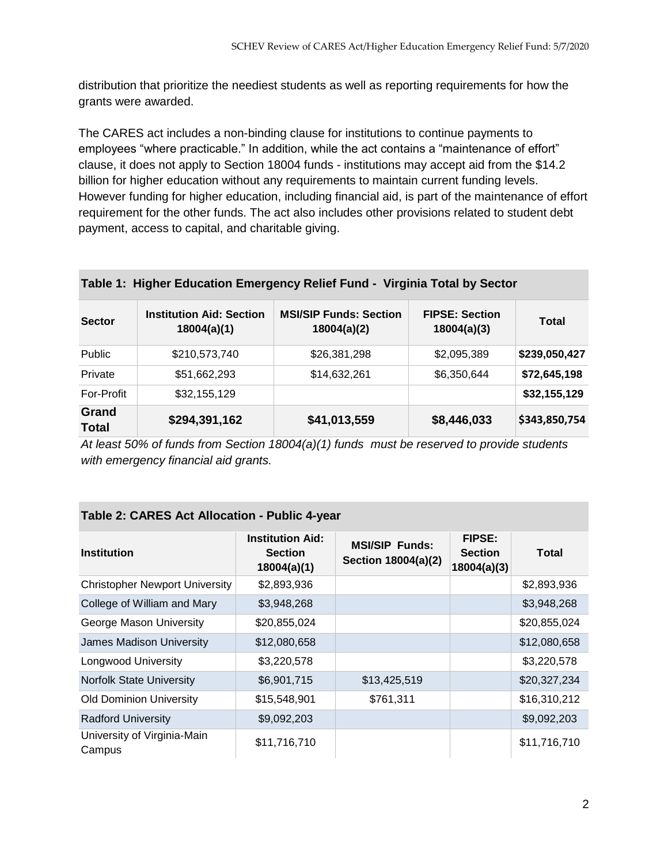distribution that prioritize the neediest students as well as reporting requirements for how the grants were awarded.

The CARES act includes a non-binding clause for institutions to continue payments to employees "where practicable." In addition, while the act contains a "maintenance of effort" clause, it does not apply to Section 18004 funds - institutions may accept aid from the \$14.2 billion for higher education without any requirements to maintain current funding levels. However funding for higher education, including financial aid, is part of the maintenance of effort requirement for the other funds. The act also includes other provisions related to student debt payment, access to capital, and charitable giving.

| <b>Sector</b>         | <b>Institution Aid: Section</b><br>18004(a)(1) | <b>MSI/SIP Funds: Section</b><br>18004(a)(2) | <b>FIPSE: Section</b><br>18004(a)(3) | <b>Total</b>  |
|-----------------------|------------------------------------------------|----------------------------------------------|--------------------------------------|---------------|
| Public                | \$210,573,740                                  | \$26,381,298                                 | \$2,095,389                          | \$239,050,427 |
| Private               | \$51,662,293                                   | \$14,632,261                                 | \$6,350,644                          | \$72,645,198  |
| For-Profit            | \$32,155,129                                   |                                              |                                      | \$32,155,129  |
| Grand<br><b>Total</b> | \$294,391,162                                  | \$41,013,559                                 | \$8,446,033                          | \$343,850,754 |

#### **Table 1: Higher Education Emergency Relief Fund - Virginia Total by Sector**

*At least 50% of funds from Section 18004(a)(1) funds must be reserved to provide students with emergency financial aid grants.*

#### **Table 2: CARES Act Allocation - Public 4-year**

| <b>Institution</b>                    | <b>Institution Aid:</b><br><b>Section</b><br>18004(a)(1) | <b>MSI/SIP Funds:</b><br>Section 18004(a)(2) | <b>FIPSE:</b><br><b>Section</b><br>18004(a)(3) | Total        |
|---------------------------------------|----------------------------------------------------------|----------------------------------------------|------------------------------------------------|--------------|
| <b>Christopher Newport University</b> | \$2,893,936                                              |                                              |                                                | \$2,893,936  |
| College of William and Mary           | \$3,948,268                                              |                                              |                                                | \$3,948,268  |
| George Mason University               | \$20,855,024                                             |                                              |                                                | \$20,855,024 |
| James Madison University              | \$12,080,658                                             |                                              |                                                | \$12,080,658 |
| Longwood University                   | \$3,220,578                                              |                                              |                                                | \$3,220,578  |
| <b>Norfolk State University</b>       | \$6,901,715                                              | \$13,425,519                                 |                                                | \$20,327,234 |
| <b>Old Dominion University</b>        | \$15,548,901                                             | \$761,311                                    |                                                | \$16,310,212 |
| <b>Radford University</b>             | \$9,092,203                                              |                                              |                                                | \$9,092,203  |
| University of Virginia-Main<br>Campus | \$11,716,710                                             |                                              |                                                | \$11,716,710 |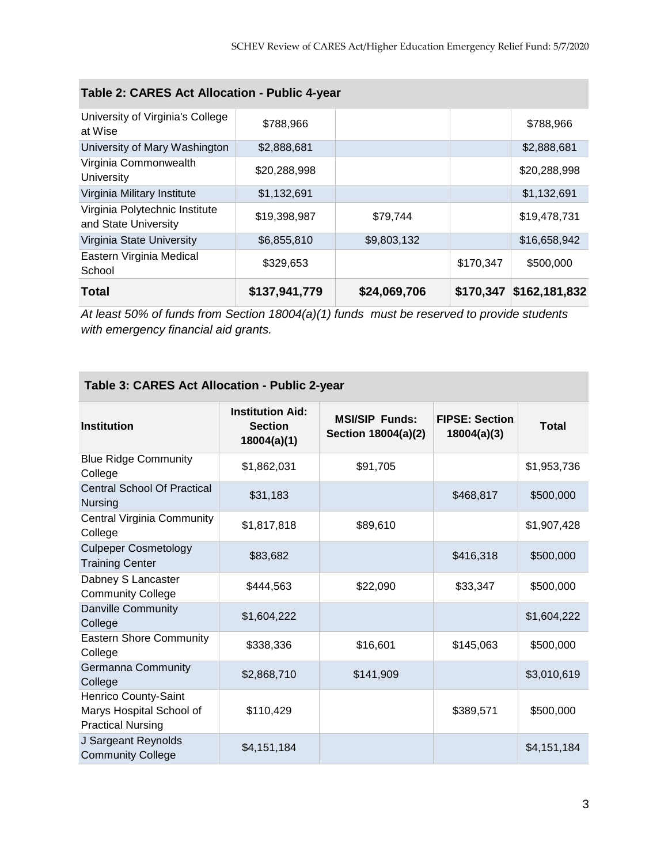| Table 2: CARES Act Allocation - Public 4-year          |               |              |           |               |  |
|--------------------------------------------------------|---------------|--------------|-----------|---------------|--|
| University of Virginia's College<br>at Wise            | \$788,966     |              |           | \$788,966     |  |
| University of Mary Washington                          | \$2,888,681   |              |           | \$2,888,681   |  |
| Virginia Commonwealth<br>University                    | \$20,288,998  |              |           | \$20,288,998  |  |
| Virginia Military Institute                            | \$1,132,691   |              |           | \$1,132,691   |  |
| Virginia Polytechnic Institute<br>and State University | \$19,398,987  | \$79,744     |           | \$19,478,731  |  |
| Virginia State University                              | \$6,855,810   | \$9,803,132  |           | \$16,658,942  |  |
| Eastern Virginia Medical<br>School                     | \$329,653     |              | \$170,347 | \$500,000     |  |
| <b>Total</b>                                           | \$137,941,779 | \$24,069,706 | \$170,347 | \$162,181,832 |  |

*At least 50% of funds from Section 18004(a)(1) funds must be reserved to provide students with emergency financial aid grants.*

| Table 3: CARES Act Allocation - Public 2-year                                |                                                          |                                              |                                      |              |  |  |
|------------------------------------------------------------------------------|----------------------------------------------------------|----------------------------------------------|--------------------------------------|--------------|--|--|
| <b>Institution</b>                                                           | <b>Institution Aid:</b><br><b>Section</b><br>18004(a)(1) | <b>MSI/SIP Funds:</b><br>Section 18004(a)(2) | <b>FIPSE: Section</b><br>18004(a)(3) | <b>Total</b> |  |  |
| <b>Blue Ridge Community</b><br>College                                       | \$1,862,031                                              | \$91,705                                     |                                      | \$1,953,736  |  |  |
| <b>Central School Of Practical</b><br>Nursing                                | \$31,183                                                 |                                              | \$468,817                            | \$500,000    |  |  |
| Central Virginia Community<br>College                                        | \$1,817,818                                              | \$89,610                                     |                                      | \$1,907,428  |  |  |
| <b>Culpeper Cosmetology</b><br><b>Training Center</b>                        | \$83,682                                                 |                                              | \$416,318                            | \$500,000    |  |  |
| Dabney S Lancaster<br><b>Community College</b>                               | \$444,563                                                | \$22,090                                     | \$33,347                             | \$500,000    |  |  |
| Danville Community<br>College                                                | \$1,604,222                                              |                                              |                                      | \$1,604,222  |  |  |
| <b>Eastern Shore Community</b><br>College                                    | \$338,336                                                | \$16,601                                     | \$145,063                            | \$500,000    |  |  |
| Germanna Community<br>College                                                | \$2,868,710                                              | \$141,909                                    |                                      | \$3,010,619  |  |  |
| Henrico County-Saint<br>Marys Hospital School of<br><b>Practical Nursing</b> | \$110,429                                                |                                              | \$389,571                            | \$500,000    |  |  |
| J Sargeant Reynolds<br><b>Community College</b>                              | \$4,151,184                                              |                                              |                                      | \$4,151,184  |  |  |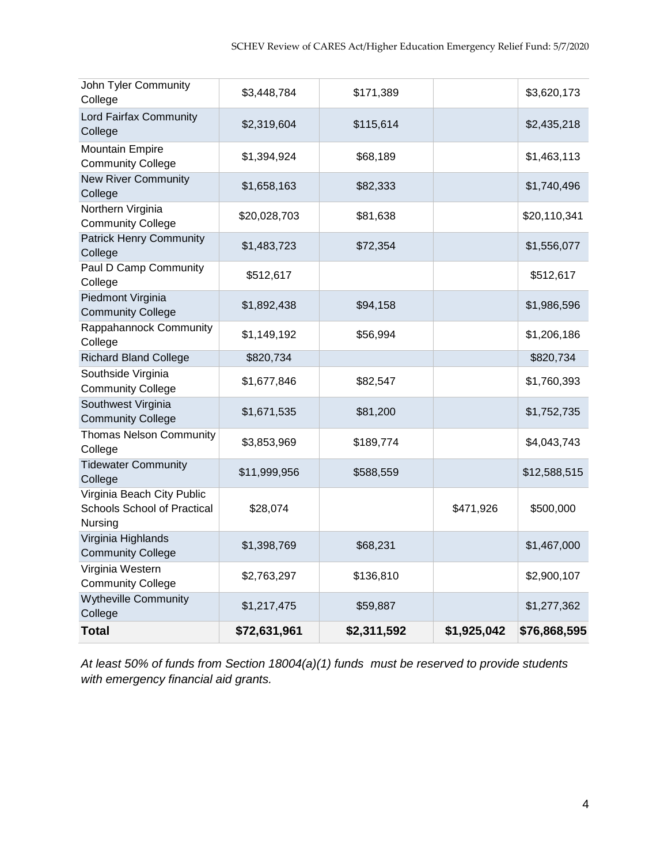| John Tyler Community<br>College                                      | \$3,448,784  | \$171,389   |             | \$3,620,173  |
|----------------------------------------------------------------------|--------------|-------------|-------------|--------------|
| Lord Fairfax Community<br>College                                    | \$2,319,604  | \$115,614   |             | \$2,435,218  |
| <b>Mountain Empire</b><br><b>Community College</b>                   | \$1,394,924  | \$68,189    |             | \$1,463,113  |
| <b>New River Community</b><br>College                                | \$1,658,163  | \$82,333    |             | \$1,740,496  |
| Northern Virginia<br><b>Community College</b>                        | \$20,028,703 | \$81,638    |             | \$20,110,341 |
| <b>Patrick Henry Community</b><br>College                            | \$1,483,723  | \$72,354    |             | \$1,556,077  |
| Paul D Camp Community<br>College                                     | \$512,617    |             |             | \$512,617    |
| Piedmont Virginia<br><b>Community College</b>                        | \$1,892,438  | \$94,158    |             | \$1,986,596  |
| Rappahannock Community<br>College                                    | \$1,149,192  | \$56,994    |             | \$1,206,186  |
| <b>Richard Bland College</b>                                         | \$820,734    |             |             | \$820,734    |
| Southside Virginia<br><b>Community College</b>                       | \$1,677,846  | \$82,547    |             | \$1,760,393  |
| Southwest Virginia<br><b>Community College</b>                       | \$1,671,535  | \$81,200    |             | \$1,752,735  |
| <b>Thomas Nelson Community</b><br>College                            | \$3,853,969  | \$189,774   |             | \$4,043,743  |
| <b>Tidewater Community</b><br>College                                | \$11,999,956 | \$588,559   |             | \$12,588,515 |
| Virginia Beach City Public<br>Schools School of Practical<br>Nursing | \$28,074     |             | \$471,926   | \$500,000    |
| Virginia Highlands<br><b>Community College</b>                       | \$1,398,769  | \$68,231    |             | \$1,467,000  |
| Virginia Western<br><b>Community College</b>                         | \$2,763,297  | \$136,810   |             | \$2,900,107  |
| <b>Wytheville Community</b><br>College                               | \$1,217,475  | \$59,887    |             | \$1,277,362  |
| <b>Total</b>                                                         | \$72,631,961 | \$2,311,592 | \$1,925,042 | \$76,868,595 |

*At least 50% of funds from Section 18004(a)(1) funds must be reserved to provide students with emergency financial aid grants.*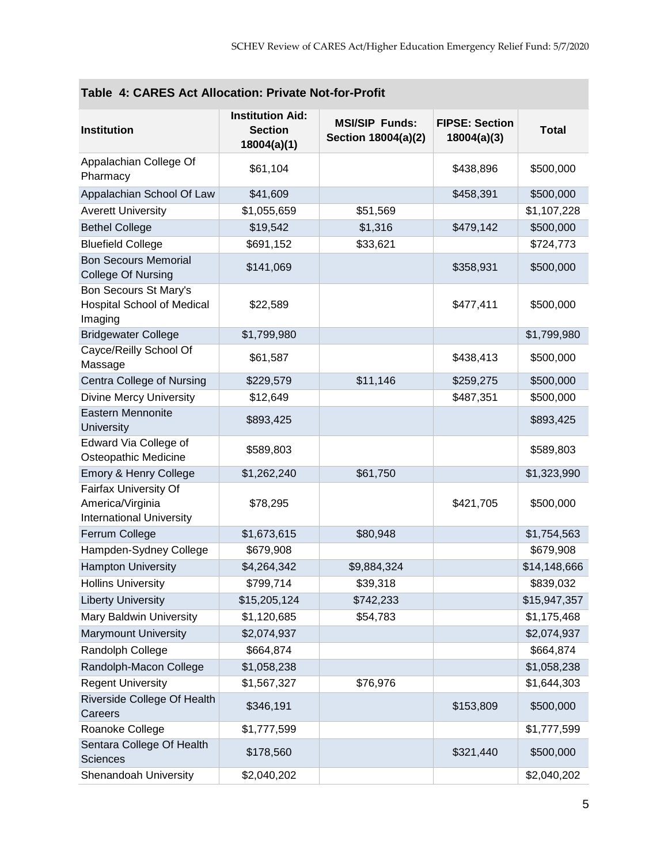| Table 4. CARES ACI AIIOCANON. FITVALE NOCTOFFIONI                            |                                                          |                                              |                                      |              |  |  |
|------------------------------------------------------------------------------|----------------------------------------------------------|----------------------------------------------|--------------------------------------|--------------|--|--|
| <b>Institution</b>                                                           | <b>Institution Aid:</b><br><b>Section</b><br>18004(a)(1) | <b>MSI/SIP Funds:</b><br>Section 18004(a)(2) | <b>FIPSE: Section</b><br>18004(a)(3) | <b>Total</b> |  |  |
| Appalachian College Of<br>Pharmacy                                           | \$61,104                                                 |                                              | \$438,896                            | \$500,000    |  |  |
| Appalachian School Of Law                                                    | \$41,609                                                 |                                              | \$458,391                            | \$500,000    |  |  |
| <b>Averett University</b>                                                    | \$1,055,659                                              | \$51,569                                     |                                      | \$1,107,228  |  |  |
| <b>Bethel College</b>                                                        | \$19,542                                                 | \$1,316                                      | \$479,142                            | \$500,000    |  |  |
| <b>Bluefield College</b>                                                     | \$691,152                                                | \$33,621                                     |                                      | \$724,773    |  |  |
| <b>Bon Secours Memorial</b><br><b>College Of Nursing</b>                     | \$141,069                                                |                                              | \$358,931                            | \$500,000    |  |  |
| Bon Secours St Mary's<br><b>Hospital School of Medical</b><br>Imaging        | \$22,589                                                 |                                              | \$477,411                            | \$500,000    |  |  |
| <b>Bridgewater College</b>                                                   | \$1,799,980                                              |                                              |                                      | \$1,799,980  |  |  |
| Cayce/Reilly School Of<br>Massage                                            | \$61,587                                                 |                                              | \$438,413                            | \$500,000    |  |  |
| Centra College of Nursing                                                    | \$229,579                                                | \$11,146                                     | \$259,275                            | \$500,000    |  |  |
| <b>Divine Mercy University</b>                                               | \$12,649                                                 |                                              | \$487,351                            | \$500,000    |  |  |
| Eastern Mennonite<br>University                                              | \$893,425                                                |                                              |                                      | \$893,425    |  |  |
| Edward Via College of<br>Osteopathic Medicine                                | \$589,803                                                |                                              |                                      | \$589,803    |  |  |
| Emory & Henry College                                                        | \$1,262,240                                              | \$61,750                                     |                                      | \$1,323,990  |  |  |
| Fairfax University Of<br>America/Virginia<br><b>International University</b> | \$78,295                                                 |                                              | \$421,705                            | \$500,000    |  |  |
| Ferrum College                                                               | \$1,673,615                                              | \$80,948                                     |                                      | \$1,754,563  |  |  |
| Hampden-Sydney College                                                       | \$679,908                                                |                                              |                                      | \$679,908    |  |  |
| <b>Hampton University</b>                                                    | \$4,264,342                                              | \$9,884,324                                  |                                      | \$14,148,666 |  |  |
| <b>Hollins University</b>                                                    | \$799,714                                                | \$39,318                                     |                                      | \$839,032    |  |  |
| <b>Liberty University</b>                                                    | \$15,205,124                                             | \$742,233                                    |                                      | \$15,947,357 |  |  |
| Mary Baldwin University                                                      | \$1,120,685                                              | \$54,783                                     |                                      | \$1,175,468  |  |  |
| <b>Marymount University</b>                                                  | \$2,074,937                                              |                                              |                                      | \$2,074,937  |  |  |
| Randolph College                                                             | \$664,874                                                |                                              |                                      | \$664,874    |  |  |
| Randolph-Macon College                                                       | \$1,058,238                                              |                                              |                                      | \$1,058,238  |  |  |
| <b>Regent University</b>                                                     | \$1,567,327                                              | \$76,976                                     |                                      | \$1,644,303  |  |  |
| Riverside College Of Health<br>Careers                                       | \$346,191                                                |                                              | \$153,809                            | \$500,000    |  |  |
| Roanoke College                                                              | \$1,777,599                                              |                                              |                                      | \$1,777,599  |  |  |
| Sentara College Of Health<br>Sciences                                        | \$178,560                                                |                                              | \$321,440                            | \$500,000    |  |  |
| Shenandoah University                                                        | \$2,040,202                                              |                                              |                                      | \$2,040,202  |  |  |

## **Table 4: CARES Act Allocation: Private Not-for-Profit**